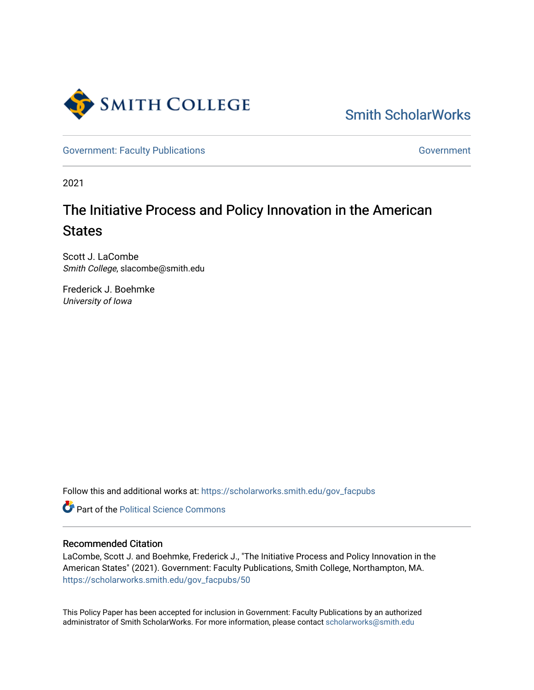

[Smith ScholarWorks](https://scholarworks.smith.edu/) 

[Government: Faculty Publications](https://scholarworks.smith.edu/gov_facpubs) [Government](https://scholarworks.smith.edu/gov) Government

2021

# The Initiative Process and Policy Innovation in the American **States**

Scott J. LaCombe Smith College, slacombe@smith.edu

Frederick J. Boehmke University of Iowa

Follow this and additional works at: [https://scholarworks.smith.edu/gov\\_facpubs](https://scholarworks.smith.edu/gov_facpubs?utm_source=scholarworks.smith.edu%2Fgov_facpubs%2F50&utm_medium=PDF&utm_campaign=PDFCoverPages) 

**Part of the Political Science Commons** 

### Recommended Citation

LaCombe, Scott J. and Boehmke, Frederick J., "The Initiative Process and Policy Innovation in the American States" (2021). Government: Faculty Publications, Smith College, Northampton, MA. [https://scholarworks.smith.edu/gov\\_facpubs/50](https://scholarworks.smith.edu/gov_facpubs/50?utm_source=scholarworks.smith.edu%2Fgov_facpubs%2F50&utm_medium=PDF&utm_campaign=PDFCoverPages)

This Policy Paper has been accepted for inclusion in Government: Faculty Publications by an authorized administrator of Smith ScholarWorks. For more information, please contact [scholarworks@smith.edu](mailto:scholarworks@smith.edu)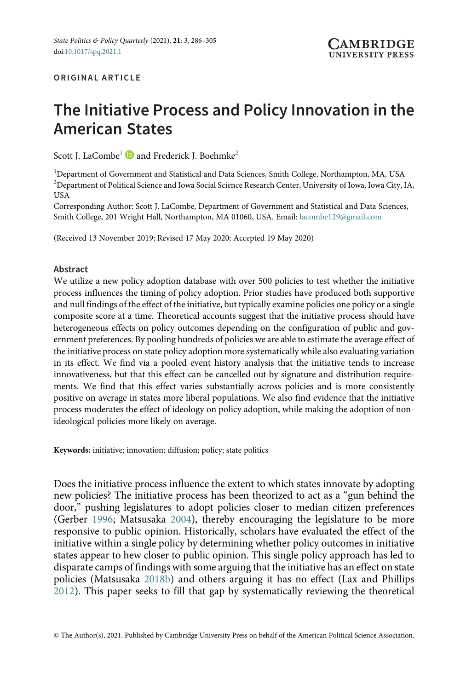#### ORIGINAL ARTICLE

## The Initiative Process and Policy Innovation in the American States

Scott J. LaCombe<sup>1</sup> and Frederick J. Boehmke<sup>2</sup>

<sup>1</sup>Department of Government and Statistical and Data Sciences, Smith College, Northampton, MA, USA  $^{2}$ Department of Political Science and Iowa Social Science Research Center, University of Iowa, Iowa City, IA, USA

Corresponding Author: Scott J. LaCombe, Department of Government and Statistical and Data Sciences, Smith College, 201 Wright Hall, Northampton, MA 01060, USA. Email: [lacombe129@gmail.com](mailto:lacombe129@gmail.com)

(Received 13 November 2019; Revised 17 May 2020; Accepted 19 May 2020)

#### Abstract

We utilize a new policy adoption database with over 500 policies to test whether the initiative process influences the timing of policy adoption. Prior studies have produced both supportive and null findings of the effect of the initiative, but typically examine policies one policy or a single composite score at a time. Theoretical accounts suggest that the initiative process should have heterogeneous effects on policy outcomes depending on the configuration of public and government preferences. By pooling hundreds of policies we are able to estimate the average effect of the initiative process on state policy adoption more systematically while also evaluating variation in its effect. We find via a pooled event history analysis that the initiative tends to increase innovativeness, but that this effect can be cancelled out by signature and distribution requirements. We find that this effect varies substantially across policies and is more consistently positive on average in states more liberal populations. We also find evidence that the initiative process moderates the effect of ideology on policy adoption, while making the adoption of nonideological policies more likely on average.

Keywords: initiative; innovation; diffusion; policy; state politics

Does the initiative process influence the extent to which states innovate by adopting new policies? The initiative process has been theorized to act as a "gun behind the door," pushing legislatures to adopt policies closer to median citizen preferences (Gerber [1996](#page-19-0); Matsusaka [2004\)](#page-20-0), thereby encouraging the legislature to be more responsive to public opinion. Historically, scholars have evaluated the effect of the initiative within a single policy by determining whether policy outcomes in initiative states appear to hew closer to public opinion. This single policy approach has led to disparate camps of findings with some arguing that the initiative has an effect on state policies (Matsusaka [2018b](#page-20-0)) and others arguing it has no effect (Lax and Phillips [2012](#page-19-0)). This paper seeks to fill that gap by systematically reviewing the theoretical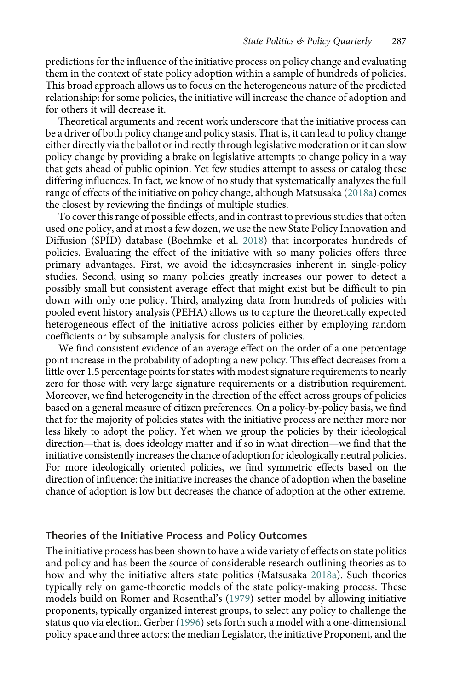predictions for the influence of the initiative process on policy change and evaluating them in the context of state policy adoption within a sample of hundreds of policies. This broad approach allows us to focus on the heterogeneous nature of the predicted relationship: for some policies, the initiative will increase the chance of adoption and for others it will decrease it.

Theoretical arguments and recent work underscore that the initiative process can be a driver of both policy change and policy stasis. That is, it can lead to policy change either directly via the ballot or indirectly through legislative moderation or it can slow policy change by providing a brake on legislative attempts to change policy in a way that gets ahead of public opinion. Yet few studies attempt to assess or catalog these differing influences. In fact, we know of no study that systematically analyzes the full range of effects of the initiative on policy change, although Matsusaka [\(2018a](#page-20-0)) comes the closest by reviewing the findings of multiple studies.

To cover this range of possible effects, and in contrast to previous studies that often used one policy, and at most a few dozen, we use the new State Policy Innovation and Diffusion (SPID) database (Boehmke et al. [2018\)](#page-19-0) that incorporates hundreds of policies. Evaluating the effect of the initiative with so many policies offers three primary advantages. First, we avoid the idiosyncrasies inherent in single-policy studies. Second, using so many policies greatly increases our power to detect a possibly small but consistent average effect that might exist but be difficult to pin down with only one policy. Third, analyzing data from hundreds of policies with pooled event history analysis (PEHA) allows us to capture the theoretically expected heterogeneous effect of the initiative across policies either by employing random coefficients or by subsample analysis for clusters of policies.

We find consistent evidence of an average effect on the order of a one percentage point increase in the probability of adopting a new policy. This effect decreases from a little over 1.5 percentage points for states with modest signature requirements to nearly zero for those with very large signature requirements or a distribution requirement. Moreover, we find heterogeneity in the direction of the effect across groups of policies based on a general measure of citizen preferences. On a policy-by-policy basis, we find that for the majority of policies states with the initiative process are neither more nor less likely to adopt the policy. Yet when we group the policies by their ideological direction—that is, does ideology matter and if so in what direction—we find that the initiative consistently increases the chance of adoption for ideologically neutral policies. For more ideologically oriented policies, we find symmetric effects based on the direction of influence: the initiative increases the chance of adoption when the baseline chance of adoption is low but decreases the chance of adoption at the other extreme.

#### Theories of the Initiative Process and Policy Outcomes

The initiative process has been shown to have a wide variety of effects on state politics and policy and has been the source of considerable research outlining theories as to how and why the initiative alters state politics (Matsusaka [2018a](#page-20-0)). Such theories typically rely on game-theoretic models of the state policy-making process. These models build on Romer and Rosenthal's [\(1979\)](#page-20-0) setter model by allowing initiative proponents, typically organized interest groups, to select any policy to challenge the status quo via election. Gerber ([1996](#page-19-0)) sets forth such a model with a one-dimensional policy space and three actors: the median Legislator, the initiative Proponent, and the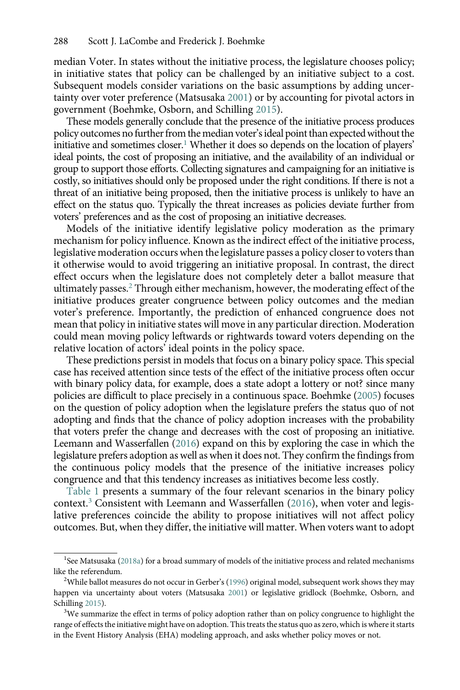median Voter. In states without the initiative process, the legislature chooses policy; in initiative states that policy can be challenged by an initiative subject to a cost. Subsequent models consider variations on the basic assumptions by adding uncertainty over voter preference (Matsusaka [2001](#page-20-0)) or by accounting for pivotal actors in government (Boehmke, Osborn, and Schilling [2015\)](#page-19-0).

These models generally conclude that the presence of the initiative process produces policy outcomes no further from the median voter's ideal point than expected without the initiative and sometimes closer.<sup>1</sup> Whether it does so depends on the location of players' ideal points, the cost of proposing an initiative, and the availability of an individual or group to support those efforts. Collecting signatures and campaigning for an initiative is costly, so initiatives should only be proposed under the right conditions. If there is not a threat of an initiative being proposed, then the initiative process is unlikely to have an effect on the status quo. Typically the threat increases as policies deviate further from voters' preferences and as the cost of proposing an initiative decreases.

Models of the initiative identify legislative policy moderation as the primary mechanism for policy influence. Known as the indirect effect of the initiative process, legislative moderation occurs when the legislature passes a policy closer to voters than it otherwise would to avoid triggering an initiative proposal. In contrast, the direct effect occurs when the legislature does not completely deter a ballot measure that ultimately passes.<sup>2</sup> Through either mechanism, however, the moderating effect of the initiative produces greater congruence between policy outcomes and the median voter's preference. Importantly, the prediction of enhanced congruence does not mean that policy in initiative states will move in any particular direction. Moderation could mean moving policy leftwards or rightwards toward voters depending on the relative location of actors' ideal points in the policy space.

These predictions persist in models that focus on a binary policy space. This special case has received attention since tests of the effect of the initiative process often occur with binary policy data, for example, does a state adopt a lottery or not? since many policies are difficult to place precisely in a continuous space. Boehmke [\(2005\)](#page-18-0) focuses on the question of policy adoption when the legislature prefers the status quo of not adopting and finds that the chance of policy adoption increases with the probability that voters prefer the change and decreases with the cost of proposing an initiative. Leemann and Wasserfallen ([2016](#page-20-0)) expand on this by exploring the case in which the legislature prefers adoption as well as when it does not. They confirm the findings from the continuous policy models that the presence of the initiative increases policy congruence and that this tendency increases as initiatives become less costly.

[Table 1](#page-4-0) presents a summary of the four relevant scenarios in the binary policy context.<sup>3</sup> Consistent with Leemann and Wasserfallen [\(2016\)](#page-20-0), when voter and legislative preferences coincide the ability to propose initiatives will not affect policy outcomes. But, when they differ, the initiative will matter. When voters want to adopt

<sup>&</sup>lt;sup>1</sup>See Matsusaka [\(2018a\)](#page-20-0) for a broad summary of models of the initiative process and related mechanisms like the referendum.

<sup>&</sup>lt;sup>2</sup>While ballot measures do not occur in Gerber's [\(1996](#page-19-0)) original model, subsequent work shows they may happen via uncertainty about voters (Matsusaka [2001\)](#page-20-0) or legislative gridlock (Boehmke, Osborn, and Schilling [2015](#page-19-0)).

 $3$ We summarize the effect in terms of policy adoption rather than on policy congruence to highlight the range of effects the initiative might have on adoption. This treats the status quo as zero, which is where it starts in the Event History Analysis (EHA) modeling approach, and asks whether policy moves or not.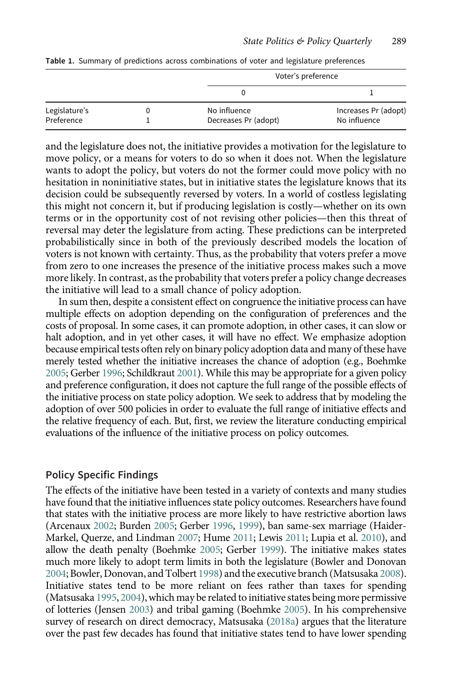|               |                      | Voter's preference   |  |  |
|---------------|----------------------|----------------------|--|--|
|               |                      |                      |  |  |
| Legislature's | No influence         | Increases Pr (adopt) |  |  |
| Preference    | Decreases Pr (adopt) | No influence         |  |  |

<span id="page-4-0"></span>Table 1. Summary of predictions across combinations of voter and legislature preferences

and the legislature does not, the initiative provides a motivation for the legislature to move policy, or a means for voters to do so when it does not. When the legislature wants to adopt the policy, but voters do not the former could move policy with no hesitation in noninitiative states, but in initiative states the legislature knows that its decision could be subsequently reversed by voters. In a world of costless legislating this might not concern it, but if producing legislation is costly—whether on its own terms or in the opportunity cost of not revising other policies—then this threat of reversal may deter the legislature from acting. These predictions can be interpreted probabilistically since in both of the previously described models the location of voters is not known with certainty. Thus, as the probability that voters prefer a move from zero to one increases the presence of the initiative process makes such a move more likely. In contrast, as the probability that voters prefer a policy change decreases the initiative will lead to a small chance of policy adoption.

In sum then, despite a consistent effect on congruence the initiative process can have multiple effects on adoption depending on the configuration of preferences and the costs of proposal. In some cases, it can promote adoption, in other cases, it can slow or halt adoption, and in yet other cases, it will have no effect. We emphasize adoption because empirical tests often rely on binary policy adoption data and many of these have merely tested whether the initiative increases the chance of adoption (e.g., Boehmke [2005;](#page-18-0) Gerber [1996;](#page-19-0) Schildkraut [2001](#page-20-0)). While this may be appropriate for a given policy and preference configuration, it does not capture the full range of the possible effects of the initiative process on state policy adoption. We seek to address that by modeling the adoption of over 500 policies in order to evaluate the full range of initiative effects and the relative frequency of each. But, first, we review the literature conducting empirical evaluations of the influence of the initiative process on policy outcomes.

#### Policy Specific Findings

The effects of the initiative have been tested in a variety of contexts and many studies have found that the initiative influences state policy outcomes. Researchers have found that states with the initiative process are more likely to have restrictive abortion laws (Arcenaux [2002;](#page-18-0) Burden [2005;](#page-19-0) Gerber [1996,](#page-19-0) [1999\)](#page-19-0), ban same-sex marriage (Haider-Markel, Querze, and Lindman [2007;](#page-19-0) Hume [2011;](#page-19-0) Lewis [2011](#page-20-0); Lupia et al. [2010](#page-20-0)), and allow the death penalty (Boehmke [2005;](#page-18-0) Gerber [1999](#page-19-0)). The initiative makes states much more likely to adopt term limits in both the legislature (Bowler and Donovan [2004](#page-19-0); Bowler, Donovan, and Tolbert [1998](#page-19-0)) and the executive branch (Matsusaka [2008\)](#page-20-0). Initiative states tend to be more reliant on fees rather than taxes for spending (Matsusaka [1995](#page-20-0), [2004](#page-20-0)), which may be related to initiative states being more permissive of lotteries (Jensen [2003](#page-19-0)) and tribal gaming (Boehmke [2005\)](#page-18-0). In his comprehensive survey of research on direct democracy, Matsusaka ([2018a](#page-20-0)) argues that the literature over the past few decades has found that initiative states tend to have lower spending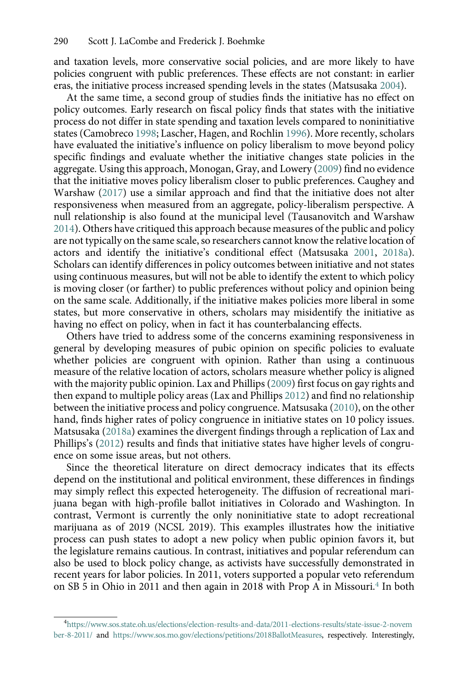and taxation levels, more conservative social policies, and are more likely to have policies congruent with public preferences. These effects are not constant: in earlier eras, the initiative process increased spending levels in the states (Matsusaka [2004](#page-20-0)).

At the same time, a second group of studies finds the initiative has no effect on policy outcomes. Early research on fiscal policy finds that states with the initiative process do not differ in state spending and taxation levels compared to noninitiative states (Camobreco [1998;](#page-19-0) Lascher, Hagen, and Rochlin [1996\)](#page-19-0). More recently, scholars have evaluated the initiative's influence on policy liberalism to move beyond policy specific findings and evaluate whether the initiative changes state policies in the aggregate. Using this approach, Monogan, Gray, and Lowery [\(2009\)](#page-20-0) find no evidence that the initiative moves policy liberalism closer to public preferences. Caughey and Warshaw ([2017](#page-19-0)) use a similar approach and find that the initiative does not alter responsiveness when measured from an aggregate, policy-liberalism perspective. A null relationship is also found at the municipal level (Tausanovitch and Warshaw [2014](#page-20-0)). Others have critiqued this approach because measures of the public and policy are not typically on the same scale, so researchers cannot know the relative location of actors and identify the initiative's conditional effect (Matsusaka [2001,](#page-20-0) [2018a](#page-20-0)). Scholars can identify differences in policy outcomes between initiative and not states using continuous measures, but will not be able to identify the extent to which policy is moving closer (or farther) to public preferences without policy and opinion being on the same scale. Additionally, if the initiative makes policies more liberal in some states, but more conservative in others, scholars may misidentify the initiative as having no effect on policy, when in fact it has counterbalancing effects.

Others have tried to address some of the concerns examining responsiveness in general by developing measures of pubic opinion on specific policies to evaluate whether policies are congruent with opinion. Rather than using a continuous measure of the relative location of actors, scholars measure whether policy is aligned with the majority public opinion. Lax and Phillips [\(2009\)](#page-19-0) first focus on gay rights and then expand to multiple policy areas (Lax and Phillips [2012\)](#page-19-0) and find no relationship between the initiative process and policy congruence. Matsusaka [\(2010\)](#page-20-0), on the other hand, finds higher rates of policy congruence in initiative states on 10 policy issues. Matsusaka [\(2018a](#page-20-0)) examines the divergent findings through a replication of Lax and Phillips's [\(2012\)](#page-19-0) results and finds that initiative states have higher levels of congruence on some issue areas, but not others.

Since the theoretical literature on direct democracy indicates that its effects depend on the institutional and political environment, these differences in findings may simply reflect this expected heterogeneity. The diffusion of recreational marijuana began with high-profile ballot initiatives in Colorado and Washington. In contrast, Vermont is currently the only noninitiative state to adopt recreational marijuana as of 2019 (NCSL 2019). This examples illustrates how the initiative process can push states to adopt a new policy when public opinion favors it, but the legislature remains cautious. In contrast, initiatives and popular referendum can also be used to block policy change, as activists have successfully demonstrated in recent years for labor policies. In 2011, voters supported a popular veto referendum on SB 5 in Ohio in 2011 and then again in 2018 with Prop A in Missouri.<sup>4</sup> In both

<sup>4</sup> [https://www.sos.state.oh.us/elections/election-results-and-data/2011-elections-results/state-issue-2-novem](https://www.sos.state.oh.us/elections/election-results-and-data/2011-elections-results/state-issue-2-november-8-2011/) [ber-8-2011/](https://www.sos.state.oh.us/elections/election-results-and-data/2011-elections-results/state-issue-2-november-8-2011/) and <https://www.sos.mo.gov/elections/petitions/2018BallotMeasures>, respectively. Interestingly,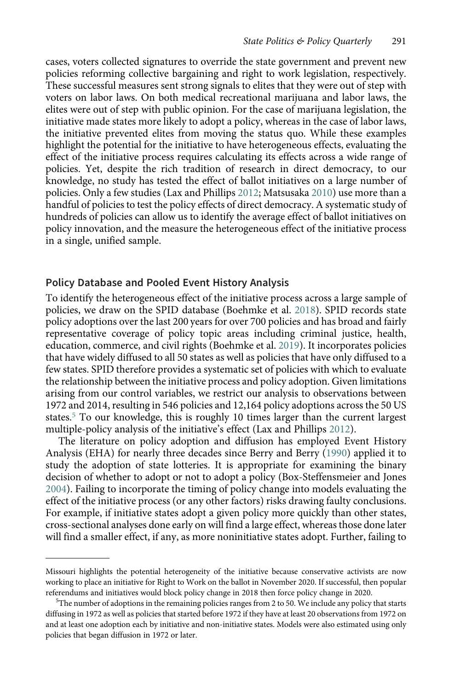cases, voters collected signatures to override the state government and prevent new policies reforming collective bargaining and right to work legislation, respectively. These successful measures sent strong signals to elites that they were out of step with voters on labor laws. On both medical recreational marijuana and labor laws, the elites were out of step with public opinion. For the case of marijuana legislation, the initiative made states more likely to adopt a policy, whereas in the case of labor laws, the initiative prevented elites from moving the status quo. While these examples highlight the potential for the initiative to have heterogeneous effects, evaluating the effect of the initiative process requires calculating its effects across a wide range of policies. Yet, despite the rich tradition of research in direct democracy, to our knowledge, no study has tested the effect of ballot initiatives on a large number of policies. Only a few studies (Lax and Phillips [2012;](#page-19-0) Matsusaka [2010](#page-20-0)) use more than a handful of policies to test the policy effects of direct democracy. A systematic study of hundreds of policies can allow us to identify the average effect of ballot initiatives on policy innovation, and the measure the heterogeneous effect of the initiative process in a single, unified sample.

#### Policy Database and Pooled Event History Analysis

To identify the heterogeneous effect of the initiative process across a large sample of policies, we draw on the SPID database (Boehmke et al. [2018](#page-19-0)). SPID records state policy adoptions over the last 200 years for over 700 policies and has broad and fairly representative coverage of policy topic areas including criminal justice, health, education, commerce, and civil rights (Boehmke et al. [2019](#page-19-0)). It incorporates policies that have widely diffused to all 50 states as well as policies that have only diffused to a few states. SPID therefore provides a systematic set of policies with which to evaluate the relationship between the initiative process and policy adoption. Given limitations arising from our control variables, we restrict our analysis to observations between 1972 and 2014, resulting in 546 policies and 12,164 policy adoptions across the 50 US states.<sup>5</sup> To our knowledge, this is roughly 10 times larger than the current largest multiple-policy analysis of the initiative's effect (Lax and Phillips [2012\)](#page-19-0).

The literature on policy adoption and diffusion has employed Event History Analysis (EHA) for nearly three decades since Berry and Berry [\(1990\)](#page-18-0) applied it to study the adoption of state lotteries. It is appropriate for examining the binary decision of whether to adopt or not to adopt a policy (Box-Steffensmeier and Jones [2004](#page-19-0)). Failing to incorporate the timing of policy change into models evaluating the effect of the initiative process (or any other factors) risks drawing faulty conclusions. For example, if initiative states adopt a given policy more quickly than other states, cross-sectional analyses done early on will find a large effect, whereas those done later will find a smaller effect, if any, as more noninitiative states adopt. Further, failing to

Missouri highlights the potential heterogeneity of the initiative because conservative activists are now working to place an initiative for Right to Work on the ballot in November 2020. If successful, then popular referendums and initiatives would block policy change in 2018 then force policy change in 2020.

 $\rm{^{5}The}$  number of adoptions in the remaining policies ranges from 2 to 50. We include any policy that starts diffusing in 1972 as well as policies that started before 1972 if they have at least 20 observations from 1972 on and at least one adoption each by initiative and non-initiative states. Models were also estimated using only policies that began diffusion in 1972 or later.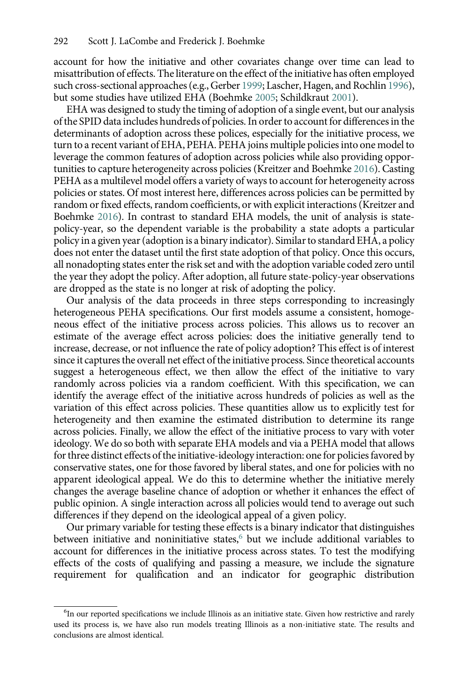account for how the initiative and other covariates change over time can lead to misattribution of effects. The literature on the effect of the initiative has often employed such cross-sectional approaches (e.g., Gerber [1999](#page-19-0); Lascher, Hagen, and Rochlin [1996\)](#page-19-0), but some studies have utilized EHA (Boehmke [2005;](#page-18-0) Schildkraut [2001\)](#page-20-0).

EHA was designed to study the timing of adoption of a single event, but our analysis of the SPID data includes hundreds of policies. In order to account for differences in the determinants of adoption across these polices, especially for the initiative process, we turn to a recent variant of EHA, PEHA. PEHA joins multiple policies into one model to leverage the common features of adoption across policies while also providing opportunities to capture heterogeneity across policies (Kreitzer and Boehmke [2016](#page-19-0)). Casting PEHA as a multilevel model offers a variety of ways to account for heterogeneity across policies or states. Of most interest here, differences across policies can be permitted by random or fixed effects, random coefficients, or with explicit interactions (Kreitzer and Boehmke [2016\)](#page-19-0). In contrast to standard EHA models, the unit of analysis is statepolicy-year, so the dependent variable is the probability a state adopts a particular policy in a given year (adoption is a binary indicator). Similar to standard EHA, a policy does not enter the dataset until the first state adoption of that policy. Once this occurs, all nonadopting states enter the risk set and with the adoption variable coded zero until the year they adopt the policy. After adoption, all future state-policy-year observations are dropped as the state is no longer at risk of adopting the policy.

Our analysis of the data proceeds in three steps corresponding to increasingly heterogeneous PEHA specifications. Our first models assume a consistent, homogeneous effect of the initiative process across policies. This allows us to recover an estimate of the average effect across policies: does the initiative generally tend to increase, decrease, or not influence the rate of policy adoption? This effect is of interest since it captures the overall net effect of the initiative process. Since theoretical accounts suggest a heterogeneous effect, we then allow the effect of the initiative to vary randomly across policies via a random coefficient. With this specification, we can identify the average effect of the initiative across hundreds of policies as well as the variation of this effect across policies. These quantities allow us to explicitly test for heterogeneity and then examine the estimated distribution to determine its range across policies. Finally, we allow the effect of the initiative process to vary with voter ideology. We do so both with separate EHA models and via a PEHA model that allows for three distinct effects of the initiative-ideology interaction: one for policies favored by conservative states, one for those favored by liberal states, and one for policies with no apparent ideological appeal. We do this to determine whether the initiative merely changes the average baseline chance of adoption or whether it enhances the effect of public opinion. A single interaction across all policies would tend to average out such differences if they depend on the ideological appeal of a given policy.

Our primary variable for testing these effects is a binary indicator that distinguishes between initiative and noninitiative states,<sup>6</sup> but we include additional variables to account for differences in the initiative process across states. To test the modifying effects of the costs of qualifying and passing a measure, we include the signature requirement for qualification and an indicator for geographic distribution

<sup>&</sup>lt;sup>6</sup>In our reported specifications we include Illinois as an initiative state. Given how restrictive and rarely used its process is, we have also run models treating Illinois as a non-initiative state. The results and conclusions are almost identical.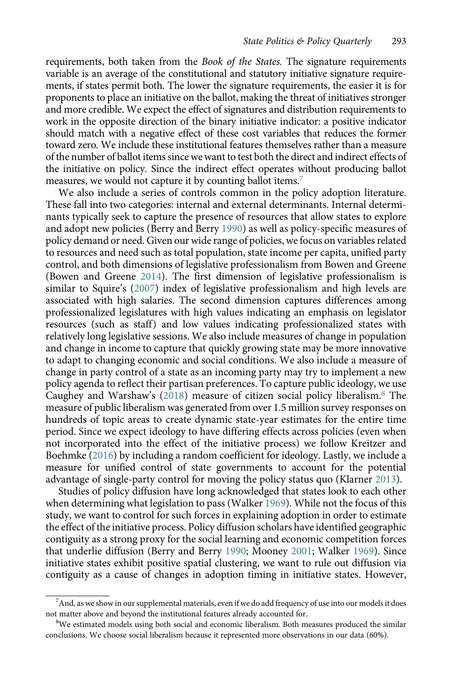requirements, both taken from the *Book of the States*. The signature requirements variable is an average of the constitutional and statutory initiative signature requirements, if states permit both. The lower the signature requirements, the easier it is for proponents to place an initiative on the ballot, making the threat of initiatives stronger and more credible. We expect the effect of signatures and distribution requirements to work in the opposite direction of the binary initiative indicator: a positive indicator should match with a negative effect of these cost variables that reduces the former toward zero. We include these institutional features themselves rather than a measure of the number of ballot items since we want to test both the direct and indirect effects of the initiative on policy. Since the indirect effect operates without producing ballot measures, we would not capture it by counting ballot items.<sup>7</sup>

We also include a series of controls common in the policy adoption literature. These fall into two categories: internal and external determinants. Internal determinants typically seek to capture the presence of resources that allow states to explore and adopt new policies (Berry and Berry [1990\)](#page-18-0) as well as policy-specific measures of policy demand or need. Given our wide range of policies, we focus on variables related to resources and need such as total population, state income per capita, unified party control, and both dimensions of legislative professionalism from Bowen and Greene (Bowen and Greene [2014\)](#page-19-0). The first dimension of legislative professionalism is similar to Squire's ([2007\)](#page-20-0) index of legislative professionalism and high levels are associated with high salaries. The second dimension captures differences among professionalized legislatures with high values indicating an emphasis on legislator resources (such as staff) and low values indicating professionalized states with relatively long legislative sessions. We also include measures of change in population and change in income to capture that quickly growing state may be more innovative to adapt to changing economic and social conditions. We also include a measure of change in party control of a state as an incoming party may try to implement a new policy agenda to reflect their partisan preferences. To capture public ideology, we use Caughey and Warshaw's [\(2018\)](#page-19-0) measure of citizen social policy liberalism.<sup>8</sup> The measure of public liberalism was generated from over 1.5 million survey responses on hundreds of topic areas to create dynamic state-year estimates for the entire time period. Since we expect ideology to have differing effects across policies (even when not incorporated into the effect of the initiative process) we follow Kreitzer and Boehmke ([2016](#page-19-0)) by including a random coefficient for ideology. Lastly, we include a measure for unified control of state governments to account for the potential advantage of single-party control for moving the policy status quo (Klarner [2013](#page-19-0)).

Studies of policy diffusion have long acknowledged that states look to each other when determining what legislation to pass (Walker [1969](#page-20-0)). While not the focus of this study, we want to control for such forces in explaining adoption in order to estimate the effect of the initiative process. Policy diffusion scholars have identified geographic contiguity as a strong proxy for the social learning and economic competition forces that underlie diffusion (Berry and Berry [1990](#page-18-0); Mooney [2001](#page-20-0); Walker [1969](#page-20-0)). Since initiative states exhibit positive spatial clustering, we want to rule out diffusion via contiguity as a cause of changes in adoption timing in initiative states. However,

 $^7$ And, as we show in our supplemental materials, even if we do add frequency of use into our models it does not matter above and beyond the institutional features already accounted for. <sup>8</sup>

 $8$ We estimated models using both social and economic liberalism. Both measures produced the similar conclusions. We choose social liberalism because it represented more observations in our data (60%).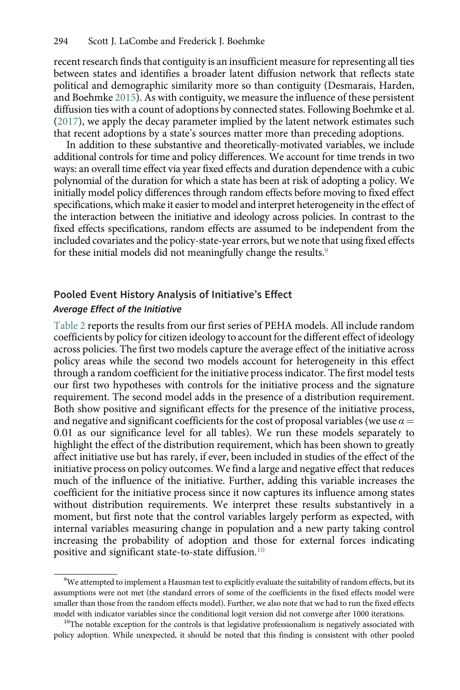recent research finds that contiguity is an insufficient measure for representing all ties between states and identifies a broader latent diffusion network that reflects state political and demographic similarity more so than contiguity (Desmarais, Harden, and Boehmke [2015\)](#page-19-0). As with contiguity, we measure the influence of these persistent diffusion ties with a count of adoptions by connected states. Following Boehmke et al. ([2017\)](#page-19-0), we apply the decay parameter implied by the latent network estimates such that recent adoptions by a state's sources matter more than preceding adoptions.

In addition to these substantive and theoretically-motivated variables, we include additional controls for time and policy differences. We account for time trends in two ways: an overall time effect via year fixed effects and duration dependence with a cubic polynomial of the duration for which a state has been at risk of adopting a policy. We initially model policy differences through random effects before moving to fixed effect specifications, which make it easier to model and interpret heterogeneity in the effect of the interaction between the initiative and ideology across policies. In contrast to the fixed effects specifications, random effects are assumed to be independent from the included covariates and the policy-state-year errors, but we note that using fixed effects for these initial models did not meaningfully change the results.<sup>9</sup>

## Pooled Event History Analysis of Initiative's Effect Average Effect of the Initiative

[Table 2](#page-10-0) reports the results from our first series of PEHA models. All include random coefficients by policy for citizen ideology to account for the different effect of ideology across policies. The first two models capture the average effect of the initiative across policy areas while the second two models account for heterogeneity in this effect through a random coefficient for the initiative process indicator. The first model tests our first two hypotheses with controls for the initiative process and the signature requirement. The second model adds in the presence of a distribution requirement. Both show positive and significant effects for the presence of the initiative process, and negative and significant coefficients for the cost of proposal variables (we use  $\alpha =$ 0:01 as our significance level for all tables). We run these models separately to highlight the effect of the distribution requirement, which has been shown to greatly affect initiative use but has rarely, if ever, been included in studies of the effect of the initiative process on policy outcomes. We find a large and negative effect that reduces much of the influence of the initiative. Further, adding this variable increases the coefficient for the initiative process since it now captures its influence among states without distribution requirements. We interpret these results substantively in a moment, but first note that the control variables largely perform as expected, with internal variables measuring change in population and a new party taking control increasing the probability of adoption and those for external forces indicating positive and significant state-to-state diffusion.<sup>10</sup>

 $^{9}$ We attempted to implement a Hausman test to explicitly evaluate the suitability of random effects, but its assumptions were not met (the standard errors of some of the coefficients in the fixed effects model were smaller than those from the random effects model). Further, we also note that we had to run the fixed effects

model with indicator variables since the conditional logit version did not converge after 1000 iterations. <sup>10</sup>The notable exception for the controls is that legislative professionalism is negatively associated with policy adoption. While unexpected, it should be noted that this finding is consistent with other pooled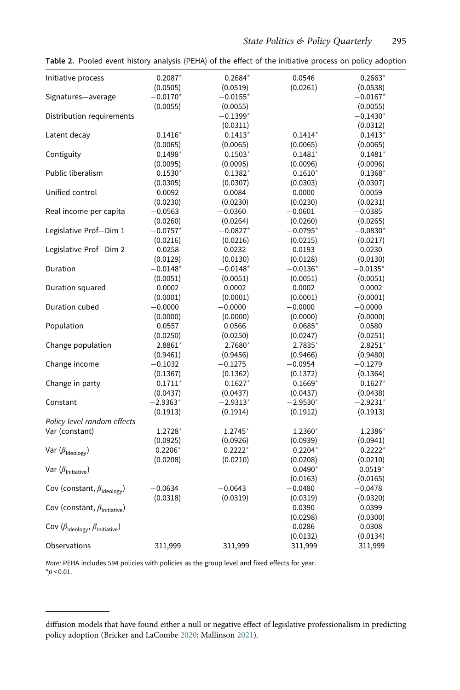| Initiative process                                         | $0.2087*$              | $0.2684*$              | 0.0546                | $0.2663*$                     |
|------------------------------------------------------------|------------------------|------------------------|-----------------------|-------------------------------|
|                                                            | (0.0505)               | (0.0519)               | (0.0261)              | (0.0538)                      |
| Signatures-average                                         | $-0.0170*$<br>(0.0055) | $-0.0155*$<br>(0.0055) |                       | $-0.0167*$<br>(0.0055)        |
| Distribution requirements                                  |                        | $-0.1399*$<br>(0.0311) |                       | $-0.1430^{\star}$<br>(0.0312) |
| Latent decay                                               | $0.1416*$              | $0.1413*$              | $0.1414*$             | $0.1413*$                     |
|                                                            | (0.0065)               | (0.0065)               | (0.0065)              | (0.0065)                      |
| Contiguity                                                 | $0.1498*$              | $0.1503*$              | $0.1481*$             | $0.1481*$                     |
|                                                            | (0.0095)               | (0.0095)               | (0.0096)              | (0.0096)                      |
| Public liberalism                                          | $0.1530*$              | $0.1382*$              | $0.1610*$             | $0.1368*$                     |
|                                                            | (0.0305)               | (0.0307)               | (0.0303)              | (0.0307)                      |
| Unified control                                            | $-0.0092$              | $-0.0084$              | $-0.0000$             | $-0.0059$                     |
|                                                            | (0.0230)               | (0.0230)               | (0.0230)              | (0.0231)                      |
| Real income per capita                                     | $-0.0563$              | $-0.0360$              | $-0.0601$             | $-0.0385$                     |
|                                                            | (0.0260)               | (0.0264)               | (0.0260)              | (0.0265)                      |
| Legislative Prof-Dim 1                                     | $-0.0757*$             | $-0.0827*$             | $-0.0795*$            | $-0.0830*$                    |
|                                                            | (0.0216)               | (0.0216)               | (0.0215)              | (0.0217)                      |
| Legislative Prof-Dim 2                                     | 0.0258                 | 0.0232                 | 0.0193                | 0.0230                        |
|                                                            | (0.0129)               | (0.0130)               | (0.0128)              | (0.0130)                      |
| Duration                                                   | $-0.0148*$             | $-0.0148*$             | $-0.0136*$            | $-0.0135*$                    |
|                                                            | (0.0051)               | (0.0051)               | (0.0051)              | (0.0051)                      |
| Duration squared                                           | 0.0002                 | 0.0002                 | 0.0002                | 0.0002                        |
|                                                            | (0.0001)               | (0.0001)               | (0.0001)              | (0.0001)                      |
| Duration cubed                                             | $-0.0000$              | $-0.0000$              | $-0.0000$             | $-0.0000$                     |
|                                                            | (0.0000)               | (0.0000)               | (0.0000)              | (0.0000)                      |
| Population                                                 | 0.0557                 | 0.0566                 | $0.0685*$             | 0.0580                        |
|                                                            | (0.0250)               | (0.0250)               | (0.0247)              | (0.0251)                      |
| Change population                                          | 2.8861*                | 2.7680*                | $2.7835*$             | $2.8251*$                     |
|                                                            | (0.9461)               | (0.9456)               | (0.9466)              | (0.9480)                      |
| Change income                                              | $-0.1032$              | $-0.1275$              | $-0.0954$             | $-0.1279$                     |
|                                                            | (0.1367)               | (0.1362)               | (0.1372)              | (0.1364)                      |
| Change in party                                            | $0.1711*$              | $0.1627*$              | $0.1669*$             | $0.1627*$                     |
|                                                            | (0.0437)               | (0.0437)               | (0.0437)              | (0.0438)                      |
| Constant                                                   | $-2.9363*$             | $-2.9313*$             | $-2.9530*$            | $-2.9231*$                    |
|                                                            | (0.1913)               | (0.1914)               | (0.1912)              | (0.1913)                      |
| Policy level random effects                                |                        |                        |                       |                               |
| Var (constant)                                             | $1.2728*$              | 1.2745*                | 1.2360*               | 1.2386*                       |
|                                                            | (0.0925)               | (0.0926)               | (0.0939)              | (0.0941)                      |
| Var $(\beta_{\text{Ideology}})$                            | $0.2206*$              | $0.2222*$              | $0.2204*$             | $0.2222*$                     |
|                                                            | (0.0208)               | (0.0210)               | (0.0208)              | (0.0210)                      |
| Var $(\beta_{\text{Initiate}})$                            |                        |                        | $0.0490*$<br>(0.0163) | $0.0519*$<br>(0.0165)         |
| Cov (constant, $\beta_{\text{Ideology}}$ )                 | $-0.0634$              | $-0.0643$              | $-0.0480$             | $-0.0478$                     |
|                                                            | (0.0318)               | (0.0319)               | (0.0319)              | (0.0320)                      |
| Cov (constant, $\beta_{\text{Initiating}}$ )               |                        |                        | 0.0390<br>(0.0298)    | 0.0399<br>(0.0300)            |
| Cov $(\beta_{\text{Ideology}}, \beta_{\text{Initiating}})$ |                        |                        | $-0.0286$<br>(0.0132) | $-0.0308$<br>(0.0134)         |
| Observations                                               | 311,999                | 311,999                | 311,999               | 311,999                       |

<span id="page-10-0"></span>Table 2. Pooled event history analysis (PEHA) of the effect of the initiative process on policy adoption

Note: PEHA includes 594 policies with policies as the group level and fixed effects for year.  $*_{p < 0.01.}$ 

diffusion models that have found either a null or negative effect of legislative professionalism in predicting policy adoption (Bricker and LaCombe [2020;](#page-19-0) Mallinson [2021\)](#page-20-0).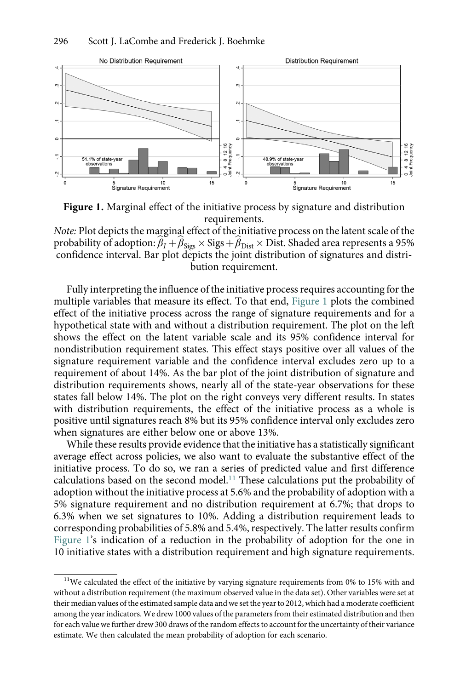

Figure 1. Marginal effect of the initiative process by signature and distribution requirements.

Note: Plot depicts the marginal effect of the initiative process on the latent scale of the probability of adoption:  $\beta_I + \beta_{\text{Sigs}} \times \text{Sigs} + \beta_{\text{Dist}} \times \text{Dist}$ . Shaded area represents a 95% confidence interval. Bar plot depicts the joint distribution of signatures and distribution requirement.

Fully interpreting the influence of the initiative process requires accounting for the multiple variables that measure its effect. To that end, Figure 1 plots the combined effect of the initiative process across the range of signature requirements and for a hypothetical state with and without a distribution requirement. The plot on the left shows the effect on the latent variable scale and its 95% confidence interval for nondistribution requirement states. This effect stays positive over all values of the signature requirement variable and the confidence interval excludes zero up to a requirement of about 14%. As the bar plot of the joint distribution of signature and distribution requirements shows, nearly all of the state-year observations for these states fall below 14%. The plot on the right conveys very different results. In states with distribution requirements, the effect of the initiative process as a whole is positive until signatures reach 8% but its 95% confidence interval only excludes zero when signatures are either below one or above 13%.

While these results provide evidence that the initiative has a statistically significant average effect across policies, we also want to evaluate the substantive effect of the initiative process. To do so, we ran a series of predicted value and first difference calculations based on the second model.11 These calculations put the probability of adoption without the initiative process at 5.6% and the probability of adoption with a 5% signature requirement and no distribution requirement at 6.7%; that drops to 6.3% when we set signatures to 10%. Adding a distribution requirement leads to corresponding probabilities of 5.8% and 5.4%, respectively. The latter results confirm Figure 1's indication of a reduction in the probability of adoption for the one in 10 initiative states with a distribution requirement and high signature requirements.

 $11$ We calculated the effect of the initiative by varying signature requirements from 0% to 15% with and without a distribution requirement (the maximum observed value in the data set). Other variables were set at their median values of the estimated sample data and we set the year to 2012, which had a moderate coefficient among the year indicators. We drew 1000 values of the parameters from their estimated distribution and then for each value we further drew 300 draws of the random effects to account for the uncertainty of their variance estimate. We then calculated the mean probability of adoption for each scenario.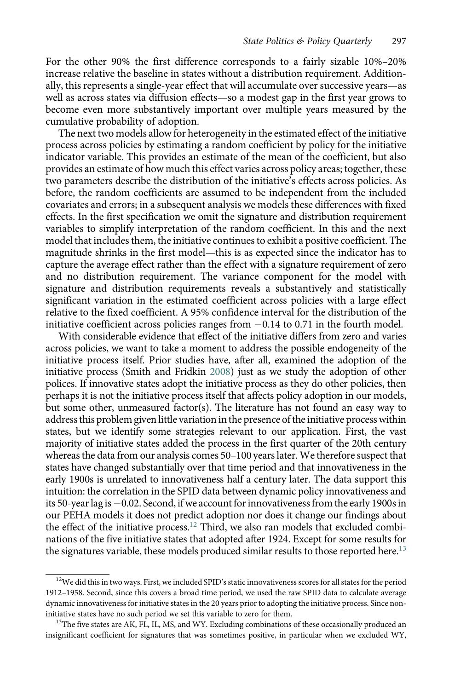For the other 90% the first difference corresponds to a fairly sizable 10%–20% increase relative the baseline in states without a distribution requirement. Additionally, this represents a single-year effect that will accumulate over successive years—as well as across states via diffusion effects—so a modest gap in the first year grows to become even more substantively important over multiple years measured by the cumulative probability of adoption.

The next two models allow for heterogeneity in the estimated effect of the initiative process across policies by estimating a random coefficient by policy for the initiative indicator variable. This provides an estimate of the mean of the coefficient, but also provides an estimate of how much this effect varies across policy areas; together, these two parameters describe the distribution of the initiative's effects across policies. As before, the random coefficients are assumed to be independent from the included covariates and errors; in a subsequent analysis we models these differences with fixed effects. In the first specification we omit the signature and distribution requirement variables to simplify interpretation of the random coefficient. In this and the next model that includes them, the initiative continues to exhibit a positive coefficient. The magnitude shrinks in the first model—this is as expected since the indicator has to capture the average effect rather than the effect with a signature requirement of zero and no distribution requirement. The variance component for the model with signature and distribution requirements reveals a substantively and statistically significant variation in the estimated coefficient across policies with a large effect relative to the fixed coefficient. A 95% confidence interval for the distribution of the initiative coefficient across policies ranges from  $-0.14$  to 0.71 in the fourth model.

With considerable evidence that effect of the initiative differs from zero and varies across policies, we want to take a moment to address the possible endogeneity of the initiative process itself. Prior studies have, after all, examined the adoption of the initiative process (Smith and Fridkin [2008](#page-20-0)) just as we study the adoption of other polices. If innovative states adopt the initiative process as they do other policies, then perhaps it is not the initiative process itself that affects policy adoption in our models, but some other, unmeasured factor(s). The literature has not found an easy way to address this problem given little variation in the presence of the initiative process within states, but we identify some strategies relevant to our application. First, the vast majority of initiative states added the process in the first quarter of the 20th century whereas the data from our analysis comes 50–100 years later. We therefore suspect that states have changed substantially over that time period and that innovativeness in the early 1900s is unrelated to innovativeness half a century later. The data support this intuition: the correlation in the SPID data between dynamic policy innovativeness and its 50-year lag is-0.02. Second, if we account for innovativenessfrom the early 1900s in our PEHA models it does not predict adoption nor does it change our findings about the effect of the initiative process.<sup>12</sup> Third, we also ran models that excluded combinations of the five initiative states that adopted after 1924. Except for some results for the signatures variable, these models produced similar results to those reported here.<sup>13</sup>

 $12$ We did this in two ways. First, we included SPID's static innovativeness scores for all states for the period 1912–1958. Second, since this covers a broad time period, we used the raw SPID data to calculate average dynamic innovativeness for initiative states in the 20 years prior to adopting the initiative process. Since noninitiative states have no such period we set this variable to zero for them.<br><sup>13</sup>The five states are AK, FL, IL, MS, and WY. Excluding combinations of these occasionally produced an

insignificant coefficient for signatures that was sometimes positive, in particular when we excluded WY,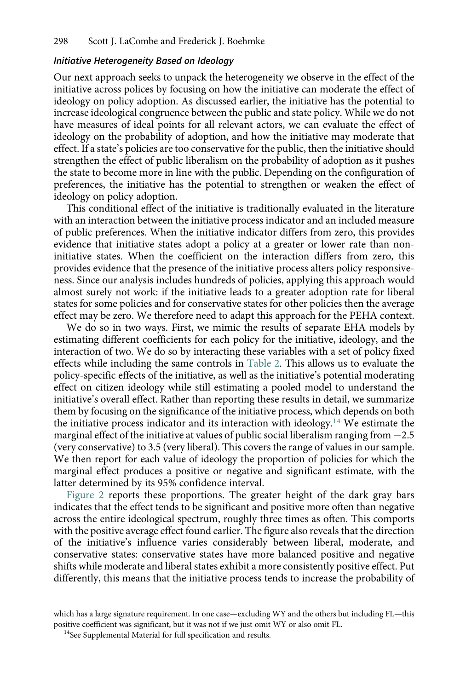#### Initiative Heterogeneity Based on Ideology

Our next approach seeks to unpack the heterogeneity we observe in the effect of the initiative across polices by focusing on how the initiative can moderate the effect of ideology on policy adoption. As discussed earlier, the initiative has the potential to increase ideological congruence between the public and state policy. While we do not have measures of ideal points for all relevant actors, we can evaluate the effect of ideology on the probability of adoption, and how the initiative may moderate that effect. If a state's policies are too conservative for the public, then the initiative should strengthen the effect of public liberalism on the probability of adoption as it pushes the state to become more in line with the public. Depending on the configuration of preferences, the initiative has the potential to strengthen or weaken the effect of ideology on policy adoption.

This conditional effect of the initiative is traditionally evaluated in the literature with an interaction between the initiative process indicator and an included measure of public preferences. When the initiative indicator differs from zero, this provides evidence that initiative states adopt a policy at a greater or lower rate than noninitiative states. When the coefficient on the interaction differs from zero, this provides evidence that the presence of the initiative process alters policy responsiveness. Since our analysis includes hundreds of policies, applying this approach would almost surely not work: if the initiative leads to a greater adoption rate for liberal states for some policies and for conservative states for other policies then the average effect may be zero. We therefore need to adapt this approach for the PEHA context.

We do so in two ways. First, we mimic the results of separate EHA models by estimating different coefficients for each policy for the initiative, ideology, and the interaction of two. We do so by interacting these variables with a set of policy fixed effects while including the same controls in [Table 2](#page-10-0). This allows us to evaluate the policy-specific effects of the initiative, as well as the initiative's potential moderating effect on citizen ideology while still estimating a pooled model to understand the initiative's overall effect. Rather than reporting these results in detail, we summarize them by focusing on the significance of the initiative process, which depends on both the initiative process indicator and its interaction with ideology.<sup>14</sup> We estimate the marginal effect of the initiative at values of public social liberalism ranging from  $-2.5$ (very conservative) to 3.5 (very liberal). This covers the range of values in our sample. We then report for each value of ideology the proportion of policies for which the marginal effect produces a positive or negative and significant estimate, with the latter determined by its 95% confidence interval.

[Figure 2](#page-14-0) reports these proportions. The greater height of the dark gray bars indicates that the effect tends to be significant and positive more often than negative across the entire ideological spectrum, roughly three times as often. This comports with the positive average effect found earlier. The figure also reveals that the direction of the initiative's influence varies considerably between liberal, moderate, and conservative states: conservative states have more balanced positive and negative shifts while moderate and liberal states exhibit a more consistently positive effect. Put differently, this means that the initiative process tends to increase the probability of

which has a large signature requirement. In one case—excluding WY and the others but including FL—this positive coefficient was significant, but it was not if we just omit WY or also omit FL.<br><sup>14</sup>See Supplemental Material for full specification and results.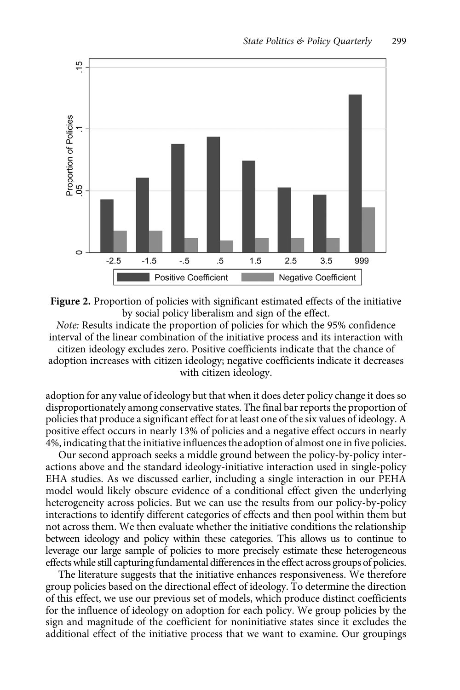<span id="page-14-0"></span>



Note: Results indicate the proportion of policies for which the 95% confidence interval of the linear combination of the initiative process and its interaction with citizen ideology excludes zero. Positive coefficients indicate that the chance of adoption increases with citizen ideology; negative coefficients indicate it decreases with citizen ideology.

adoption for any value of ideology but that when it does deter policy change it does so disproportionately among conservative states. The final bar reports the proportion of policies that produce a significant effect for at least one of the six values of ideology. A positive effect occurs in nearly 13% of policies and a negative effect occurs in nearly 4%, indicating that the initiative influences the adoption of almost one in five policies.

Our second approach seeks a middle ground between the policy-by-policy interactions above and the standard ideology-initiative interaction used in single-policy EHA studies. As we discussed earlier, including a single interaction in our PEHA model would likely obscure evidence of a conditional effect given the underlying heterogeneity across policies. But we can use the results from our policy-by-policy interactions to identify different categories of effects and then pool within them but not across them. We then evaluate whether the initiative conditions the relationship between ideology and policy within these categories. This allows us to continue to leverage our large sample of policies to more precisely estimate these heterogeneous effects while still capturing fundamental differences in the effect across groups of policies.

The literature suggests that the initiative enhances responsiveness. We therefore group policies based on the directional effect of ideology. To determine the direction of this effect, we use our previous set of models, which produce distinct coefficients for the influence of ideology on adoption for each policy. We group policies by the sign and magnitude of the coefficient for noninitiative states since it excludes the additional effect of the initiative process that we want to examine. Our groupings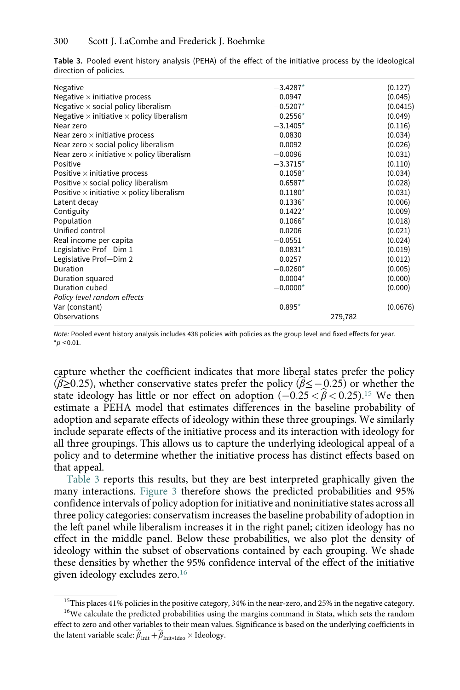| Negative<br>Negative $\times$ initiative process<br>Negative $\times$ social policy liberalism<br>Negative $\times$ initiative $\times$ policy liberalism<br>Near zero<br>Near zero $\times$ initiative process<br>Near zero $\times$ social policy liberalism<br>Near zero $\times$ initiative $\times$ policy liberalism<br>Positive<br>Positive $\times$ initiative process<br>Positive $\times$ social policy liberalism<br>Positive $\times$ initiative $\times$ policy liberalism<br>Latent decay<br>Contiguity<br>Population<br>Unified control<br>Real income per capita<br>Legislative Prof-Dim 1<br>Legislative Prof-Dim 2<br>Duration<br>Duration squared | $-3.4287*$<br>0.0947<br>$-0.5207*$<br>$0.2556*$<br>$-3.1405*$<br>0.0830<br>0.0092<br>$-0.0096$<br>$-3.3715*$<br>$0.1058*$<br>$0.6587*$<br>$-0.1180*$<br>$0.1336*$<br>$0.1422*$<br>$0.1066*$<br>0.0206<br>$-0.0551$<br>$-0.0831*$<br>0.0257<br>$-0.0260*$<br>$0.0004*$ |         | (0.127)<br>(0.045)<br>(0.0415)<br>(0.049)<br>(0.116)<br>(0.034)<br>(0.026)<br>(0.031)<br>(0.110)<br>(0.034)<br>(0.028)<br>(0.031)<br>(0.006)<br>(0.009)<br>(0.018)<br>(0.021)<br>(0.024)<br>(0.019)<br>(0.012)<br>(0.005)<br>(0.000) |
|----------------------------------------------------------------------------------------------------------------------------------------------------------------------------------------------------------------------------------------------------------------------------------------------------------------------------------------------------------------------------------------------------------------------------------------------------------------------------------------------------------------------------------------------------------------------------------------------------------------------------------------------------------------------|-----------------------------------------------------------------------------------------------------------------------------------------------------------------------------------------------------------------------------------------------------------------------|---------|--------------------------------------------------------------------------------------------------------------------------------------------------------------------------------------------------------------------------------------|
|                                                                                                                                                                                                                                                                                                                                                                                                                                                                                                                                                                                                                                                                      |                                                                                                                                                                                                                                                                       |         |                                                                                                                                                                                                                                      |
| Duration cubed                                                                                                                                                                                                                                                                                                                                                                                                                                                                                                                                                                                                                                                       | $-0.0000*$                                                                                                                                                                                                                                                            |         | (0.000)                                                                                                                                                                                                                              |
| Policy level random effects                                                                                                                                                                                                                                                                                                                                                                                                                                                                                                                                                                                                                                          |                                                                                                                                                                                                                                                                       |         |                                                                                                                                                                                                                                      |
| Var (constant)                                                                                                                                                                                                                                                                                                                                                                                                                                                                                                                                                                                                                                                       | $0.895*$                                                                                                                                                                                                                                                              |         | (0.0676)                                                                                                                                                                                                                             |
| Observations                                                                                                                                                                                                                                                                                                                                                                                                                                                                                                                                                                                                                                                         |                                                                                                                                                                                                                                                                       | 279,782 |                                                                                                                                                                                                                                      |

Table 3. Pooled event history analysis (PEHA) of the effect of the initiative process by the ideological direction of policies.

Note: Pooled event history analysis includes 438 policies with policies as the group level and fixed effects for year.  $*_{p}$  < 0.01.

capture whether the coefficient indicates that more liberal states prefer the policy  $\epsilon_{\rho}$ ≈0.01.<br>(apture whether the coefficient indicates that more liberal states  $(\beta \ge 0.25)$ , whether conservative states prefer the policy  $(\beta \le -1)$ ( $\beta \geq 0.25$ ), whether conservative states prefer the policy ( $\beta \leq -0.25$ ) or whether the capture whether the coefficient indicates that more liberal states prefer the policy ( $\hat{\beta} \ge 0.25$ ), whether conservative states prefer the policy ( $\hat{\beta} \le -0.25$ ) or whether the state ideology has little or nor effect estimate a PEHA model that estimates differences in the baseline probability of adoption and separate effects of ideology within these three groupings. We similarly include separate effects of the initiative process and its interaction with ideology for all three groupings. This allows us to capture the underlying ideological appeal of a policy and to determine whether the initiative process has distinct effects based on that appeal.

Table 3 reports this results, but they are best interpreted graphically given the many interactions. [Figure 3](#page-16-0) therefore shows the predicted probabilities and 95% confidence intervals of policy adoption for initiative and noninitiative states across all three policy categories: conservatism increases the baseline probability of adoption in the left panel while liberalism increases it in the right panel; citizen ideology has no effect in the middle panel. Below these probabilities, we also plot the density of ideology within the subset of observations contained by each grouping. We shade these densities by whether the 95% confidence interval of the effect of the initiative given ideology excludes zero.<sup>16</sup>

 $^{15}$ This places 41% policies in the positive category, 34% in the near-zero, and 25% in the negative category.

<sup>&</sup>lt;sup>16</sup>We calculate the predicted probabilities using the margins command in Stata, which sets the random effect to zero and other variables to their mean values. Significance is based on the underlying coefficients in the latent variable scale:  $\beta_{Init} + \beta_{Init*Ideo} \times Ideology.$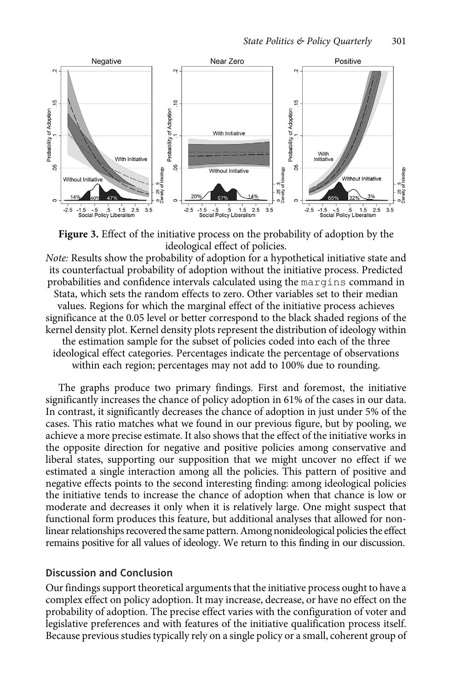<span id="page-16-0"></span>

**Figure 3.** Effect of the initiative process on the probability of adoption by the ideological effect of policies.

Note: Results show the probability of adoption for a hypothetical initiative state and its counterfactual probability of adoption without the initiative process. Predicted probabilities and confidence intervals calculated using the margins command in Stata, which sets the random effects to zero. Other variables set to their median values. Regions for which the marginal effect of the initiative process achieves significance at the 0.05 level or better correspond to the black shaded regions of the kernel density plot. Kernel density plots represent the distribution of ideology within the estimation sample for the subset of policies coded into each of the three ideological effect categories. Percentages indicate the percentage of observations within each region; percentages may not add to 100% due to rounding.

The graphs produce two primary findings. First and foremost, the initiative significantly increases the chance of policy adoption in 61% of the cases in our data. In contrast, it significantly decreases the chance of adoption in just under 5% of the cases. This ratio matches what we found in our previous figure, but by pooling, we achieve a more precise estimate. It also shows that the effect of the initiative works in the opposite direction for negative and positive policies among conservative and liberal states, supporting our supposition that we might uncover no effect if we estimated a single interaction among all the policies. This pattern of positive and negative effects points to the second interesting finding: among ideological policies the initiative tends to increase the chance of adoption when that chance is low or moderate and decreases it only when it is relatively large. One might suspect that functional form produces this feature, but additional analyses that allowed for nonlinear relationships recovered the same pattern. Among nonideological policies the effect remains positive for all values of ideology. We return to this finding in our discussion.

#### Discussion and Conclusion

Our findings support theoretical arguments that the initiative process ought to have a complex effect on policy adoption. It may increase, decrease, or have no effect on the probability of adoption. The precise effect varies with the configuration of voter and legislative preferences and with features of the initiative qualification process itself. Because previous studies typically rely on a single policy or a small, coherent group of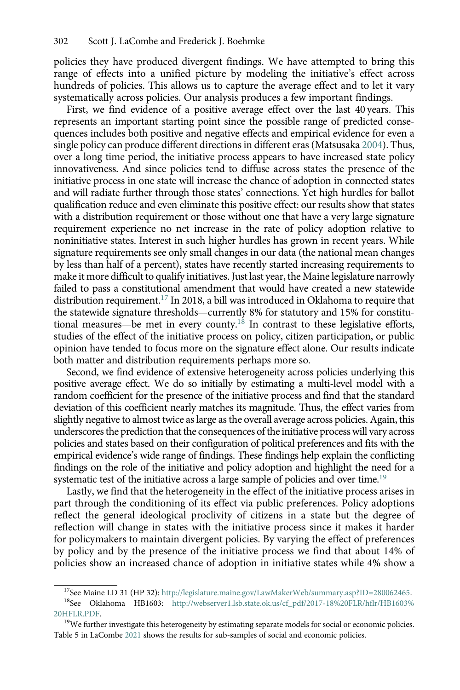policies they have produced divergent findings. We have attempted to bring this range of effects into a unified picture by modeling the initiative's effect across hundreds of policies. This allows us to capture the average effect and to let it vary systematically across policies. Our analysis produces a few important findings.

First, we find evidence of a positive average effect over the last 40 years. This represents an important starting point since the possible range of predicted consequences includes both positive and negative effects and empirical evidence for even a single policy can produce different directions in different eras (Matsusaka [2004](#page-20-0)). Thus, over a long time period, the initiative process appears to have increased state policy innovativeness. And since policies tend to diffuse across states the presence of the initiative process in one state will increase the chance of adoption in connected states and will radiate further through those states' connections. Yet high hurdles for ballot qualification reduce and even eliminate this positive effect: our results show that states with a distribution requirement or those without one that have a very large signature requirement experience no net increase in the rate of policy adoption relative to noninitiative states. Interest in such higher hurdles has grown in recent years. While signature requirements see only small changes in our data (the national mean changes by less than half of a percent), states have recently started increasing requirements to make it more difficult to qualify initiatives. Just last year, the Maine legislature narrowly failed to pass a constitutional amendment that would have created a new statewide distribution requirement.17 In 2018, a bill was introduced in Oklahoma to require that the statewide signature thresholds—currently 8% for statutory and 15% for constitutional measures—be met in every county.18 In contrast to these legislative efforts, studies of the effect of the initiative process on policy, citizen participation, or public opinion have tended to focus more on the signature effect alone. Our results indicate both matter and distribution requirements perhaps more so.

Second, we find evidence of extensive heterogeneity across policies underlying this positive average effect. We do so initially by estimating a multi-level model with a random coefficient for the presence of the initiative process and find that the standard deviation of this coefficient nearly matches its magnitude. Thus, the effect varies from slightly negative to almost twice as large as the overall average across policies. Again, this underscores the prediction that the consequences of the initiative process will vary across policies and states based on their configuration of political preferences and fits with the empirical evidence's wide range of findings. These findings help explain the conflicting findings on the role of the initiative and policy adoption and highlight the need for a systematic test of the initiative across a large sample of policies and over time.<sup>19</sup>

Lastly, we find that the heterogeneity in the effect of the initiative process arises in part through the conditioning of its effect via public preferences. Policy adoptions reflect the general ideological proclivity of citizens in a state but the degree of reflection will change in states with the initiative process since it makes it harder for policymakers to maintain divergent policies. By varying the effect of preferences by policy and by the presence of the initiative process we find that about 14% of policies show an increased chance of adoption in initiative states while 4% show a

<sup>&</sup>lt;sup>17</sup>See Maine LD 31 (HP 32): <http://legislature.maine.gov/LawMakerWeb/summary.asp?ID=280062465>.<br><sup>18</sup>See Oklahoma HB1603: [http://webserver1.lsb.state.ok.us/cf\\_pdf/2017-18%20FLR/hflr/HB1603%](http://webserver1.lsb.state.ok.us/cf_pdf/2017-18%20FLR/hflr/HB1603%20HFLR.PDF)  $^{20\rm{HFLR. PDF.}}$   $^{19\rm{We}}$  further investigate this heterogeneity by estimating separate models for social or economic policies.

Table 5 in LaCombe [2021](#page-19-0) shows the results for sub-samples of social and economic policies.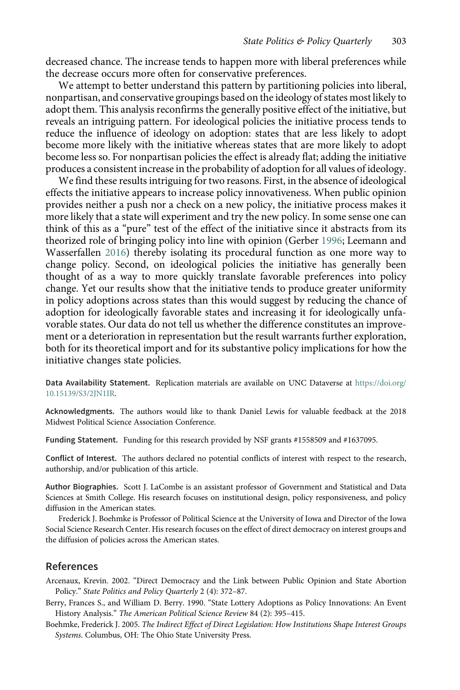<span id="page-18-0"></span>decreased chance. The increase tends to happen more with liberal preferences while the decrease occurs more often for conservative preferences.

We attempt to better understand this pattern by partitioning policies into liberal, nonpartisan, and conservative groupings based on the ideology of states most likely to adopt them. This analysis reconfirms the generally positive effect of the initiative, but reveals an intriguing pattern. For ideological policies the initiative process tends to reduce the influence of ideology on adoption: states that are less likely to adopt become more likely with the initiative whereas states that are more likely to adopt become less so. For nonpartisan policies the effect is already flat; adding the initiative produces a consistent increase in the probability of adoption for all values of ideology.

We find these results intriguing for two reasons. First, in the absence of ideological effects the initiative appears to increase policy innovativeness. When public opinion provides neither a push nor a check on a new policy, the initiative process makes it more likely that a state will experiment and try the new policy. In some sense one can think of this as a "pure" test of the effect of the initiative since it abstracts from its theorized role of bringing policy into line with opinion (Gerber [1996](#page-19-0); Leemann and Wasserfallen [2016](#page-20-0)) thereby isolating its procedural function as one more way to change policy. Second, on ideological policies the initiative has generally been thought of as a way to more quickly translate favorable preferences into policy change. Yet our results show that the initiative tends to produce greater uniformity in policy adoptions across states than this would suggest by reducing the chance of adoption for ideologically favorable states and increasing it for ideologically unfavorable states. Our data do not tell us whether the difference constitutes an improvement or a deterioration in representation but the result warrants further exploration, both for its theoretical import and for its substantive policy implications for how the initiative changes state policies.

Data Availability Statement. Replication materials are available on UNC Dataverse at [https://doi.org/](https://doi.org/10.15139/S3/2JN1IR) [10.15139/S3/2JN1IR.](https://doi.org/10.15139/S3/2JN1IR)

Acknowledgments. The authors would like to thank Daniel Lewis for valuable feedback at the 2018 Midwest Political Science Association Conference.

Funding Statement. Funding for this research provided by NSF grants #1558509 and #1637095.

Conflict of Interest. The authors declared no potential conflicts of interest with respect to the research, authorship, and/or publication of this article.

Author Biographies. Scott J. LaCombe is an assistant professor of Government and Statistical and Data Sciences at Smith College. His research focuses on institutional design, policy responsiveness, and policy diffusion in the American states.

Frederick J. Boehmke is Professor of Political Science at the University of Iowa and Director of the Iowa Social Science Research Center. His research focuses on the effect of direct democracy on interest groups and the diffusion of policies across the American states.

#### References

Arcenaux, Krevin. 2002. "Direct Democracy and the Link between Public Opinion and State Abortion Policy." State Politics and Policy Quarterly 2 (4): 372–87.

Berry, Frances S., and William D. Berry. 1990. "State Lottery Adoptions as Policy Innovations: An Event History Analysis." The American Political Science Review 84 (2): 395–415.

Boehmke, Frederick J. 2005. The Indirect Effect of Direct Legislation: How Institutions Shape Interest Groups Systems. Columbus, OH: The Ohio State University Press.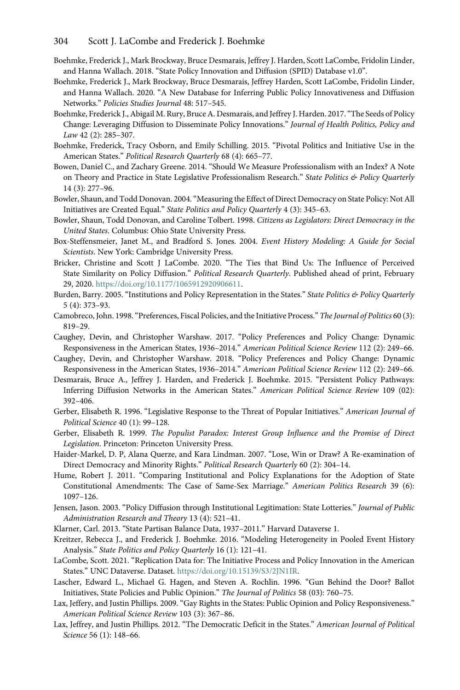#### <span id="page-19-0"></span>304 Scott J. LaCombe and Frederick J. Boehmke

- Boehmke, Frederick J., Mark Brockway, Bruce Desmarais, Jeffrey J. Harden, Scott LaCombe, Fridolin Linder, and Hanna Wallach. 2018. "State Policy Innovation and Diffusion (SPID) Database v1.0".
- Boehmke, Frederick J., Mark Brockway, Bruce Desmarais, Jeffrey Harden, Scott LaCombe, Fridolin Linder, and Hanna Wallach. 2020. "A New Database for Inferring Public Policy Innovativeness and Diffusion Networks." Policies Studies Journal 48: 517–545.
- Boehmke, Frederick J., Abigail M. Rury, Bruce A. Desmarais, and Jeffrey J. Harden. 2017."The Seeds of Policy Change: Leveraging Diffusion to Disseminate Policy Innovations." Journal of Health Politics, Policy and Law 42 (2): 285–307.
- Boehmke, Frederick, Tracy Osborn, and Emily Schilling. 2015. "Pivotal Politics and Initiative Use in the American States." Political Research Quarterly 68 (4): 665–77.
- Bowen, Daniel C., and Zachary Greene. 2014. "Should We Measure Professionalism with an Index? A Note on Theory and Practice in State Legislative Professionalism Research." State Politics & Policy Quarterly 14 (3): 277–96.
- Bowler, Shaun, and Todd Donovan. 2004."Measuring the Effect of Direct Democracy on State Policy: Not All Initiatives are Created Equal." State Politics and Policy Quarterly 4 (3): 345–63.
- Bowler, Shaun, Todd Donovan, and Caroline Tolbert. 1998. Citizens as Legislators: Direct Democracy in the United States. Columbus: Ohio State University Press.
- Box-Steffensmeier, Janet M., and Bradford S. Jones. 2004. Event History Modeling: A Guide for Social Scientists. New York: Cambridge University Press.
- Bricker, Christine and Scott J LaCombe. 2020. "The Ties that Bind Us: The Influence of Perceived State Similarity on Policy Diffusion." Political Research Quarterly. Published ahead of print, February 29, 2020. <https://doi.org/10.1177/1065912920906611>.
- Burden, Barry. 2005. "Institutions and Policy Representation in the States." State Politics & Policy Quarterly 5 (4): 373–93.
- Camobreco, John. 1998."Preferences, Fiscal Policies, and the Initiative Process." The Journal of Politics 60 (3): 819–29.
- Caughey, Devin, and Christopher Warshaw. 2017. "Policy Preferences and Policy Change: Dynamic Responsiveness in the American States, 1936–2014." American Political Science Review 112 (2): 249–66.
- Caughey, Devin, and Christopher Warshaw. 2018. "Policy Preferences and Policy Change: Dynamic Responsiveness in the American States, 1936–2014." American Political Science Review 112 (2): 249–66.
- Desmarais, Bruce A., Jeffrey J. Harden, and Frederick J. Boehmke. 2015. "Persistent Policy Pathways: Inferring Diffusion Networks in the American States." American Political Science Review 109 (02): 392–406.
- Gerber, Elisabeth R. 1996. "Legislative Response to the Threat of Popular Initiatives." American Journal of Political Science 40 (1): 99–128.
- Gerber, Elisabeth R. 1999. The Populist Paradox: Interest Group Influence and the Promise of Direct Legislation. Princeton: Princeton University Press.
- Haider-Markel, D. P, Alana Querze, and Kara Lindman. 2007. "Lose, Win or Draw? A Re-examination of Direct Democracy and Minority Rights." Political Research Quarterly 60 (2): 304–14.
- Hume, Robert J. 2011. "Comparing Institutional and Policy Explanations for the Adoption of State Constitutional Amendments: The Case of Same-Sex Marriage." American Politics Research 39 (6): 1097–126.
- Jensen, Jason. 2003. "Policy Diffusion through Institutional Legitimation: State Lotteries." Journal of Public Administration Research and Theory 13 (4): 521–41.
- Klarner, Carl. 2013. "State Partisan Balance Data, 1937–2011." Harvard Dataverse 1.
- Kreitzer, Rebecca J., and Frederick J. Boehmke. 2016. "Modeling Heterogeneity in Pooled Event History Analysis." State Politics and Policy Quarterly 16 (1): 121–41.
- LaCombe, Scott. 2021. "Replication Data for: The Initiative Process and Policy Innovation in the American States." UNC Dataverse. Dataset. <https://doi.org/10.15139/S3/2JN1IR>.
- Lascher, Edward L., Michael G. Hagen, and Steven A. Rochlin. 1996. "Gun Behind the Door? Ballot Initiatives, State Policies and Public Opinion." The Journal of Politics 58 (03): 760–75.
- Lax, Jeffery, and Justin Phillips. 2009. "Gay Rights in the States: Public Opinion and Policy Responsiveness." American Political Science Review 103 (3): 367–86.
- Lax, Jeffrey, and Justin Phillips. 2012. "The Democratic Deficit in the States." American Journal of Political Science 56 (1): 148–66.